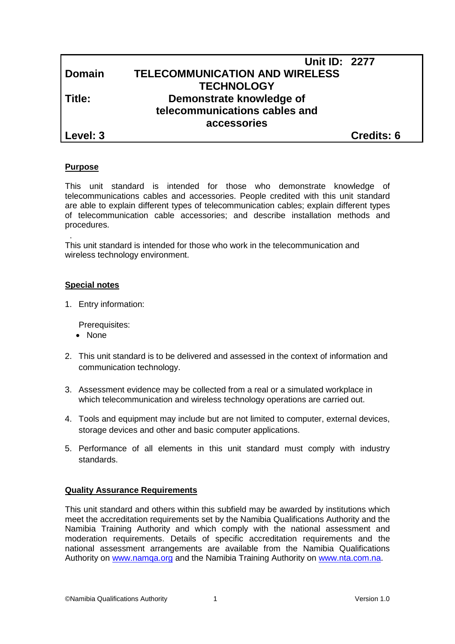|               | <b>Unit ID: 2277</b>                  |            |
|---------------|---------------------------------------|------------|
| <b>Domain</b> | <b>TELECOMMUNICATION AND WIRELESS</b> |            |
|               | <b>TECHNOLOGY</b>                     |            |
| Title:        | Demonstrate knowledge of              |            |
|               | telecommunications cables and         |            |
|               | accessories                           |            |
| Level: 3      |                                       | Credits: 6 |

# **Purpose**

This unit standard is intended for those who demonstrate knowledge of telecommunications cables and accessories. People credited with this unit standard are able to explain different types of telecommunication cables; explain different types of telecommunication cable accessories; and describe installation methods and procedures.

. This unit standard is intended for those who work in the telecommunication and wireless technology environment.

#### **Special notes**

1. Entry information:

Prerequisites:

- None
- 2. This unit standard is to be delivered and assessed in the context of information and communication technology.
- 3. Assessment evidence may be collected from a real or a simulated workplace in which telecommunication and wireless technology operations are carried out.
- 4. Tools and equipment may include but are not limited to computer, external devices, storage devices and other and basic computer applications.
- 5. Performance of all elements in this unit standard must comply with industry standards.

# **Quality Assurance Requirements**

This unit standard and others within this subfield may be awarded by institutions which meet the accreditation requirements set by the Namibia Qualifications Authority and the Namibia Training Authority and which comply with the national assessment and moderation requirements. Details of specific accreditation requirements and the national assessment arrangements are available from the Namibia Qualifications Authority on [www.namqa.org](http://www.namqa.org/) and the Namibia Training Authority on [www.nta.com.na.](http://www.nta.com.na/)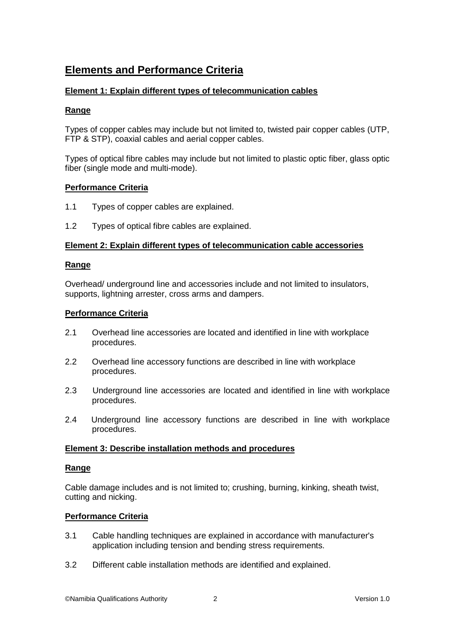# **Elements and Performance Criteria**

# **Element 1: Explain different types of telecommunication cables**

# **Range**

Types of copper cables may include but not limited to, twisted pair copper cables (UTP, FTP & STP), coaxial cables and aerial copper cables.

Types of optical fibre cables may include but not limited to plastic optic fiber, glass optic fiber (single mode and multi-mode).

# **Performance Criteria**

- 1.1 Types of copper cables are explained.
- 1.2 Types of optical fibre cables are explained.

#### **Element 2: Explain different types of telecommunication cable accessories**

#### **Range**

Overhead/ underground line and accessories include and not limited to insulators, supports, lightning arrester, cross arms and dampers.

#### **Performance Criteria**

- 2.1 Overhead line accessories are located and identified in line with workplace procedures.
- 2.2 Overhead line accessory functions are described in line with workplace procedures.
- 2.3 Underground line accessories are located and identified in line with workplace procedures.
- 2.4 Underground line accessory functions are described in line with workplace procedures.

#### **Element 3: Describe installation methods and procedures**

#### **Range**

Cable damage includes and is not limited to; crushing, burning, kinking, sheath twist, cutting and nicking.

# **Performance Criteria**

- 3.1 Cable handling techniques are explained in accordance with manufacturer's application including tension and bending stress requirements.
- 3.2 Different cable installation methods are identified and explained.